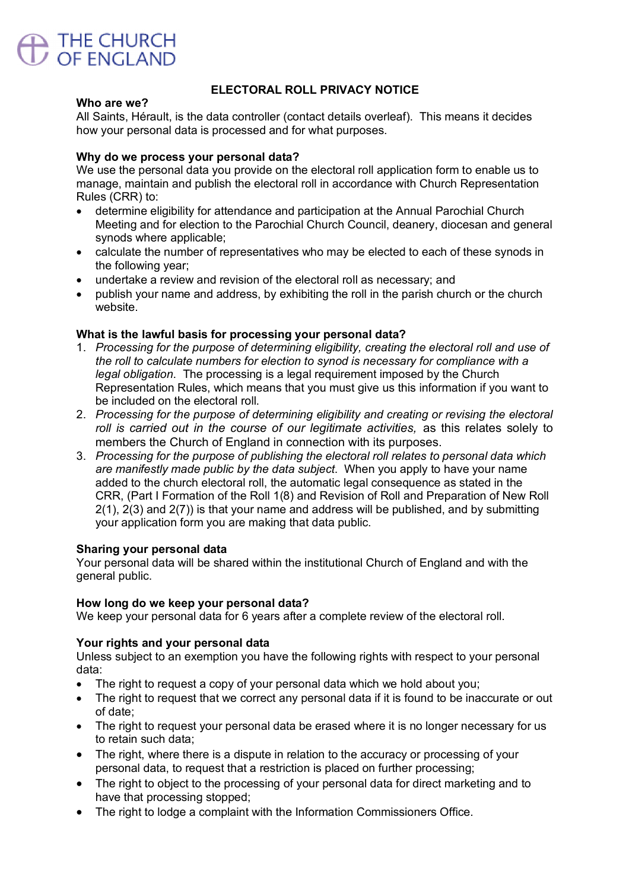

# **ELECTORAL ROLL PRIVACY NOTICE**

#### **Who are we?**

All Saints, Hérault, is the data controller (contact details overleaf). This means it decides how your personal data is processed and for what purposes.

### **Why do we process your personal data?**

We use the personal data you provide on the electoral roll application form to enable us to manage, maintain and publish the electoral roll in accordance with Church Representation Rules (CRR) to:

- determine eligibility for attendance and participation at the Annual Parochial Church Meeting and for election to the Parochial Church Council, deanery, diocesan and general synods where applicable;
- calculate the number of representatives who may be elected to each of these synods in the following year;
- undertake a review and revision of the electoral roll as necessary; and
- publish your name and address, by exhibiting the roll in the parish church or the church website.

### **What is the lawful basis for processing your personal data?**

- 1. *Processing for the purpose of determining eligibility, creating the electoral roll and use of the roll to calculate numbers for election to synod is necessary for compliance with a legal obligation*. The processing is a legal requirement imposed by the Church Representation Rules, which means that you must give us this information if you want to be included on the electoral roll.
- 2. *Processing for the purpose of determining eligibility and creating or revising the electoral roll is carried out in the course of our legitimate activities,* as this relates solely to members the Church of England in connection with its purposes.
- 3. *Processing for the purpose of publishing the electoral roll relates to personal data which are manifestly made public by the data subject*. When you apply to have your name added to the church electoral roll, the automatic legal consequence as stated in the CRR, (Part I Formation of the Roll 1(8) and Revision of Roll and Preparation of New Roll 2(1), 2(3) and 2(7)) is that your name and address will be published, and by submitting your application form you are making that data public.

#### **Sharing your personal data**

Your personal data will be shared within the institutional Church of England and with the general public.

#### **How long do we keep your personal data?**

We keep your personal data for 6 years after a complete review of the electoral roll.

## **Your rights and your personal data**

Unless subject to an exemption you have the following rights with respect to your personal data:

- The right to request a copy of your personal data which we hold about you;
- The right to request that we correct any personal data if it is found to be inaccurate or out of date;
- The right to request your personal data be erased where it is no longer necessary for us to retain such data;
- The right, where there is a dispute in relation to the accuracy or processing of your personal data, to request that a restriction is placed on further processing;
- The right to object to the processing of your personal data for direct marketing and to have that processing stopped;
- The right to lodge a complaint with the Information Commissioners Office.